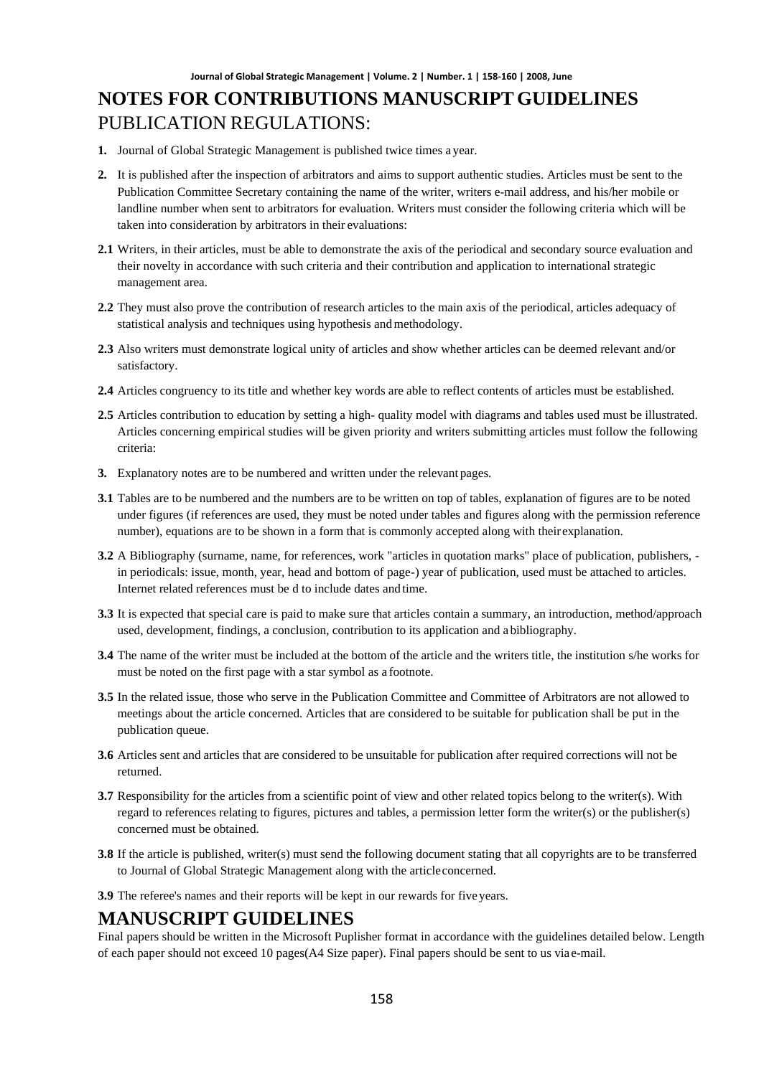# **NOTES FOR CONTRIBUTIONS MANUSCRIPT GUIDELINES** PUBLICATION REGULATIONS:

- **1.** Journal of Global Strategic Management is published twice times a year.
- **2.** It is published after the inspection of arbitrators and aims to support authentic studies. Articles must be sent to the Publication Committee Secretary containing the name of the writer, writers e-mail address, and his/her mobile or landline number when sent to arbitrators for evaluation. Writers must consider the following criteria which will be taken into consideration by arbitrators in their evaluations:
- **2.1** Writers, in their articles, must be able to demonstrate the axis of the periodical and secondary source evaluation and their novelty in accordance with such criteria and their contribution and application to international strategic management area.
- **2.2** They must also prove the contribution of research articles to the main axis of the periodical, articles adequacy of statistical analysis and techniques using hypothesis and methodology.
- **2.3** Also writers must demonstrate logical unity of articles and show whether articles can be deemed relevant and/or satisfactory.
- **2.4** Articles congruency to its title and whether key words are able to reflect contents of articles must be established.
- **2.5** Articles contribution to education by setting a high- quality model with diagrams and tables used must be illustrated. Articles concerning empirical studies will be given priority and writers submitting articles must follow the following criteria:
- **3.** Explanatory notes are to be numbered and written under the relevant pages.
- **3.1** Tables are to be numbered and the numbers are to be written on top of tables, explanation of figures are to be noted under figures (if references are used, they must be noted under tables and figures along with the permission reference number), equations are to be shown in a form that is commonly accepted along with theirexplanation.
- **3.2** A Bibliography (surname, name, for references, work "articles in quotation marks" place of publication, publishers, in periodicals: issue, month, year, head and bottom of page-) year of publication, used must be attached to articles. Internet related references must be d to include dates and time.
- **3.3** It is expected that special care is paid to make sure that articles contain a summary, an introduction, method/approach used, development, findings, a conclusion, contribution to its application and a bibliography.
- **3.4** The name of the writer must be included at the bottom of the article and the writers title, the institution s/he works for must be noted on the first page with a star symbol as a footnote.
- **3.5** In the related issue, those who serve in the Publication Committee and Committee of Arbitrators are not allowed to meetings about the article concerned. Articles that are considered to be suitable for publication shall be put in the publication queue.
- **3.6** Articles sent and articles that are considered to be unsuitable for publication after required corrections will not be returned.
- **3.7** Responsibility for the articles from a scientific point of view and other related topics belong to the writer(s). With regard to references relating to figures, pictures and tables, a permission letter form the writer(s) or the publisher(s) concerned must be obtained.
- **3.8** If the article is published, writer(s) must send the following document stating that all copyrights are to be transferred to Journal of Global Strategic Management along with the articleconcerned.
- **3.9** The referee's names and their reports will be kept in our rewards for five years.

#### **MANUSCRIPT GUIDELINES**

Final papers should be written in the Microsoft Puplisher format in accordance with the guidelines detailed below. Length of each paper should not exceed 10 pages(A4 Size paper). Final papers should be sent to us viae-mail.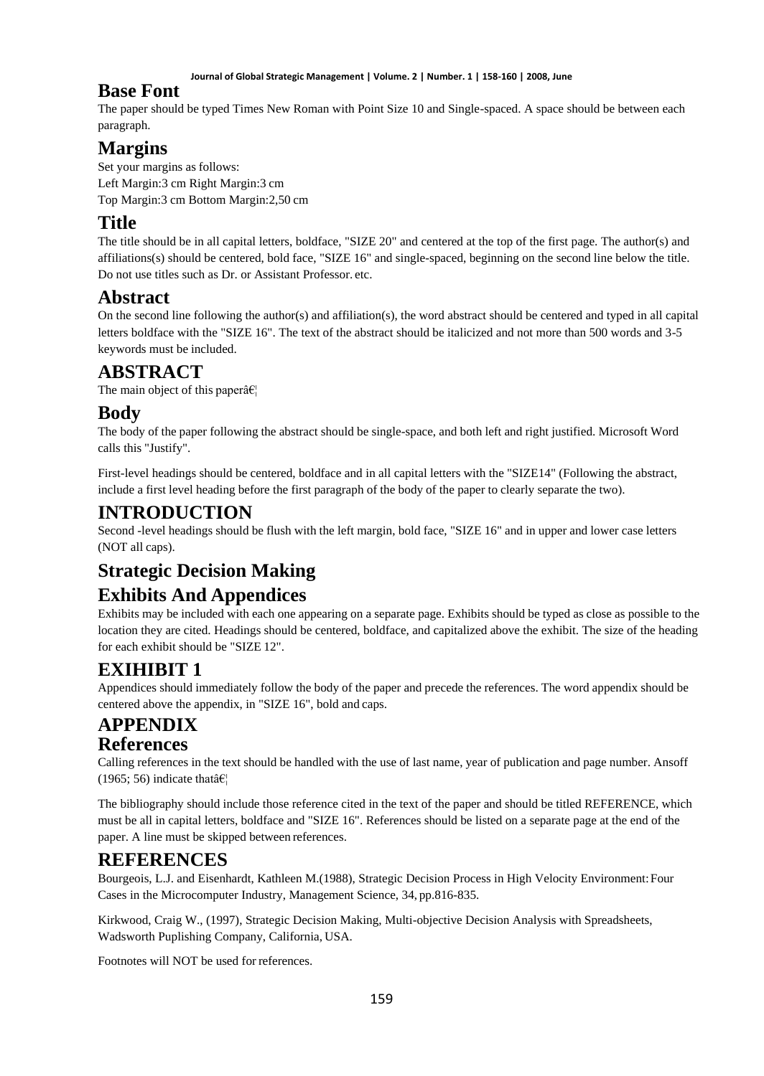**Journal of Global Strategic Management | Volume. 2 | Number. 1 | 158-160 | 2008, June**

## **Base Font**

The paper should be typed Times New Roman with Point Size 10 and Single-spaced. A space should be between each paragraph.

# **Margins**

Set your margins as follows: Left Margin:3 cm Right Margin:3 cm Top Margin:3 cm Bottom Margin:2,50 cm

## **Title**

The title should be in all capital letters, boldface, "SIZE 20" and centered at the top of the first page. The author(s) and affiliations(s) should be centered, bold face, "SIZE 16" and single-spaced, beginning on the second line below the title. Do not use titles such as Dr. or Assistant Professor. etc.

## **Abstract**

On the second line following the author(s) and affiliation(s), the word abstract should be centered and typed in all capital letters boldface with the "SIZE 16". The text of the abstract should be italicized and not more than 500 words and 3-5 keywords must be included.

# **ABSTRACT**

The main object of this paper $\hat{\mathbf{a}} \in \mathbb{R}^n$ 

## **Body**

The body of the paper following the abstract should be single-space, and both left and right justified. Microsoft Word calls this "Justify".

First-level headings should be centered, boldface and in all capital letters with the "SIZE14" (Following the abstract, include a first level heading before the first paragraph of the body of the paper to clearly separate the two).

## **INTRODUCTION**

Second -level headings should be flush with the left margin, bold face, "SIZE 16" and in upper and lower case letters (NOT all caps).

# **Strategic Decision Making**

## **Exhibits And Appendices**

Exhibits may be included with each one appearing on a separate page. Exhibits should be typed as close as possible to the location they are cited. Headings should be centered, boldface, and capitalized above the exhibit. The size of the heading for each exhibit should be "SIZE 12".

# **EXIHIBIT 1**

Appendices should immediately follow the body of the paper and precede the references. The word appendix should be centered above the appendix, in "SIZE 16", bold and caps.

### **APPENDIX References**

Calling references in the text should be handled with the use of last name, year of publication and page number. Ansoff (1965; 56) indicate that  $\hat{\mathbf{a}} \in \mathbb{C}$ 

The bibliography should include those reference cited in the text of the paper and should be titled REFERENCE, which must be all in capital letters, boldface and "SIZE 16". References should be listed on a separate page at the end of the paper. A line must be skipped between references.

## **REFERENCES**

Bourgeois, L.J. and Eisenhardt, Kathleen M.(1988), Strategic Decision Process in High Velocity Environment:Four Cases in the Microcomputer Industry, Management Science, 34, pp.816-835.

Kirkwood, Craig W., (1997), Strategic Decision Making, Multi-objective Decision Analysis with Spreadsheets, Wadsworth Puplishing Company, California, USA.

Footnotes will NOT be used for references.